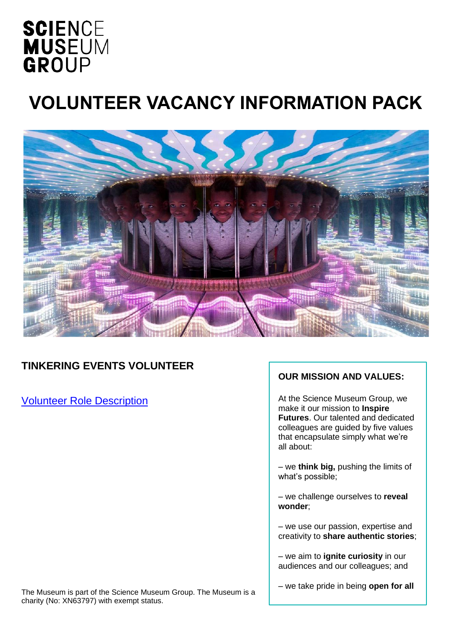## **SCIENCE MUSEUM** GROUP

# **VOLUNTEER VACANCY INFORMATION PACK**



### **TINKERING EVENTS VOLUNTEER**

Volunteer Role Description

#### **OUR MISSION AND VALUES:**

At the Science Museum Group, we make it our mission to **Inspire Futures**. Our talented and dedicated colleagues are guided by five values that encapsulate simply what we're all about:

– we **think big,** pushing the limits of what's possible;

– we challenge ourselves to **reveal wonder**;

– we use our passion, expertise and creativity to **share authentic stories**;

– we aim to **ignite curiosity** in our audiences and our colleagues; and

The Museum is part of the Science Museum Group. The Museum is a charity (No: XN63797) with exempt status.

– we take pride in being **open for all**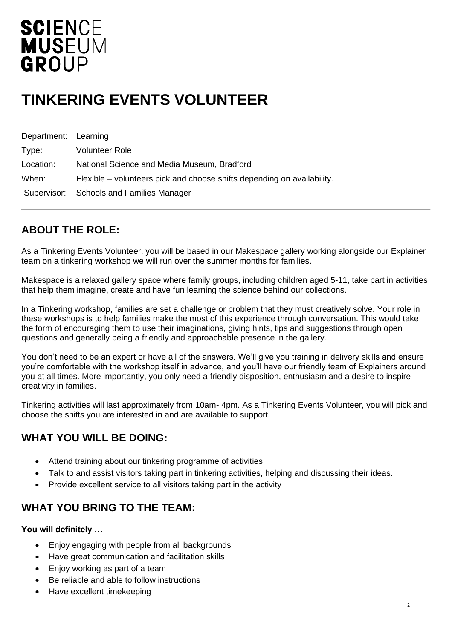## **SCIENCE MUSEUM** GROUP

## **TINKERING EVENTS VOLUNTEER**

| Department: Learning |                                                                         |
|----------------------|-------------------------------------------------------------------------|
| Type:                | Volunteer Role                                                          |
| Location:            | National Science and Media Museum, Bradford                             |
| When:                | Flexible – volunteers pick and choose shifts depending on availability. |
|                      | Supervisor: Schools and Families Manager                                |

### **ABOUT THE ROLE:**

As a Tinkering Events Volunteer, you will be based in our Makespace gallery working alongside our Explainer team on a tinkering workshop we will run over the summer months for families.

Makespace is a relaxed gallery space where family groups, including children aged 5-11, take part in activities that help them imagine, create and have fun learning the science behind our collections.

In a Tinkering workshop, families are set a challenge or problem that they must creatively solve. Your role in these workshops is to help families make the most of this experience through conversation. This would take the form of encouraging them to use their imaginations, giving hints, tips and suggestions through open questions and generally being a friendly and approachable presence in the gallery.

You don't need to be an expert or have all of the answers. We'll give you training in delivery skills and ensure you're comfortable with the workshop itself in advance, and you'll have our friendly team of Explainers around you at all times. More importantly, you only need a friendly disposition, enthusiasm and a desire to inspire creativity in families.

Tinkering activities will last approximately from 10am- 4pm. As a Tinkering Events Volunteer, you will pick and choose the shifts you are interested in and are available to support.

### **WHAT YOU WILL BE DOING:**

- Attend training about our tinkering programme of activities
- Talk to and assist visitors taking part in tinkering activities, helping and discussing their ideas.
- Provide excellent service to all visitors taking part in the activity

#### **WHAT YOU BRING TO THE TEAM:**

#### **You will definitely …**

- Enjoy engaging with people from all backgrounds
- Have great communication and facilitation skills
- Enjoy working as part of a team
- Be reliable and able to follow instructions
- Have excellent timekeeping